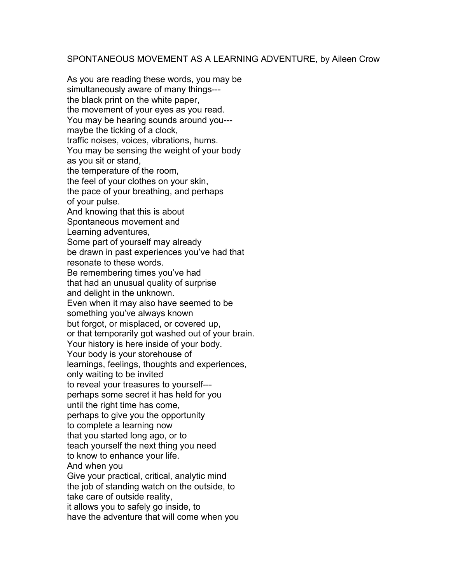## SPONTANEOUS MOVEMENT AS A LEARNING ADVENTURE, by Aileen Crow

As you are reading these words, you may be simultaneously aware of many things-- the black print on the white paper, the movement of your eyes as you read. You may be hearing sounds around you--maybe the ticking of a clock, traffic noises, voices, vibrations, hums. You may be sensing the weight of your body as you sit or stand, the temperature of the room, the feel of your clothes on your skin, the pace of your breathing, and perhaps of your pulse. And knowing that this is about Spontaneous movement and Learning adventures, Some part of yourself may already be drawn in past experiences you've had that resonate to these words. Be remembering times you've had that had an unusual quality of surprise and delight in the unknown. Even when it may also have seemed to be something you've always known but forgot, or misplaced, or covered up, or that temporarily got washed out of your brain. Your history is here inside of your body. Your body is your storehouse of learnings, feelings, thoughts and experiences, only waiting to be invited to reveal your treasures to yourself-- perhaps some secret it has held for you until the right time has come, perhaps to give you the opportunity to complete a learning now that you started long ago, or to teach yourself the next thing you need to know to enhance your life. And when you Give your practical, critical, analytic mind the job of standing watch on the outside, to take care of outside reality, it allows you to safely go inside, to have the adventure that will come when you